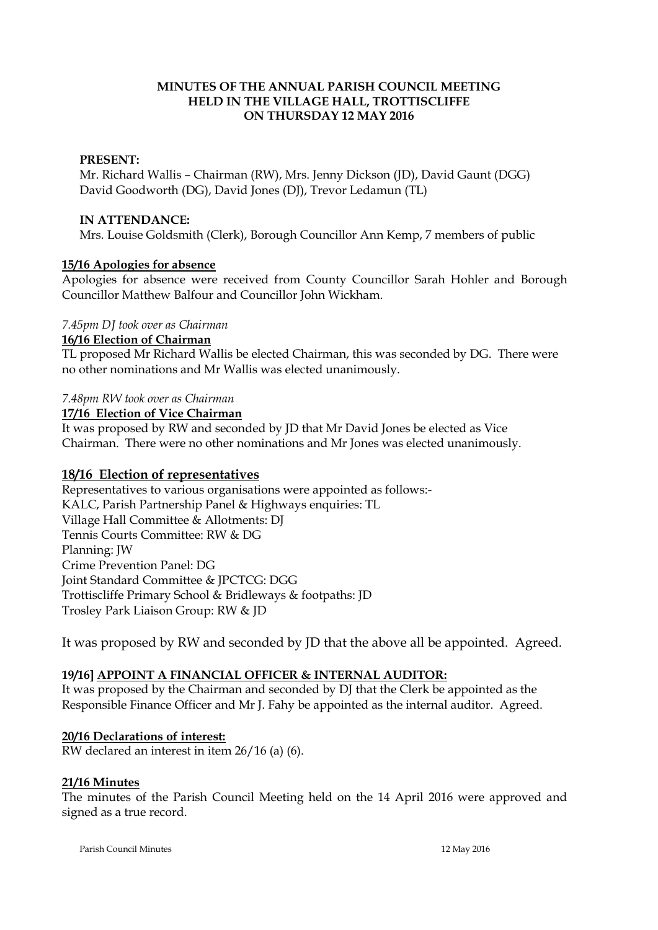## **MINUTES OF THE ANNUAL PARISH COUNCIL MEETING HELD IN THE VILLAGE HALL, TROTTISCLIFFE ON THURSDAY 12 MAY 2016**

## **PRESENT:**

Mr. Richard Wallis – Chairman (RW), Mrs. Jenny Dickson (JD), David Gaunt (DGG) David Goodworth (DG), David Jones (DJ), Trevor Ledamun (TL)

### **IN ATTENDANCE:**

Mrs. Louise Goldsmith (Clerk), Borough Councillor Ann Kemp, 7 members of public

# **15/16 Apologies for absence**

Apologies for absence were received from County Councillor Sarah Hohler and Borough Councillor Matthew Balfour and Councillor John Wickham.

## *7.45pm DJ took over as Chairman*

## **16/16 Election of Chairman**

TL proposed Mr Richard Wallis be elected Chairman, this was seconded by DG. There were no other nominations and Mr Wallis was elected unanimously.

# *7.48pm RW took over as Chairman*

#### **17/16 Election of Vice Chairman**

It was proposed by RW and seconded by JD that Mr David Jones be elected as Vice Chairman. There were no other nominations and Mr Jones was elected unanimously.

# **18/16 Election of representatives**

Representatives to various organisations were appointed as follows:- KALC, Parish Partnership Panel & Highways enquiries: TL Village Hall Committee & Allotments: DJ Tennis Courts Committee: RW & DG Planning: JW Crime Prevention Panel: DG Joint Standard Committee & JPCTCG: DGG Trottiscliffe Primary School & Bridleways & footpaths: JD Trosley Park Liaison Group: RW & JD

It was proposed by RW and seconded by JD that the above all be appointed. Agreed.

# **19/16] APPOINT A FINANCIAL OFFICER & INTERNAL AUDITOR:**

It was proposed by the Chairman and seconded by DJ that the Clerk be appointed as the Responsible Finance Officer and Mr J. Fahy be appointed as the internal auditor. Agreed.

# **20/16 Declarations of interest:**

RW declared an interest in item 26/16 (a) (6).

## **21/16 Minutes**

The minutes of the Parish Council Meeting held on the 14 April 2016 were approved and signed as a true record.

Parish Council Minutes 12 May 2016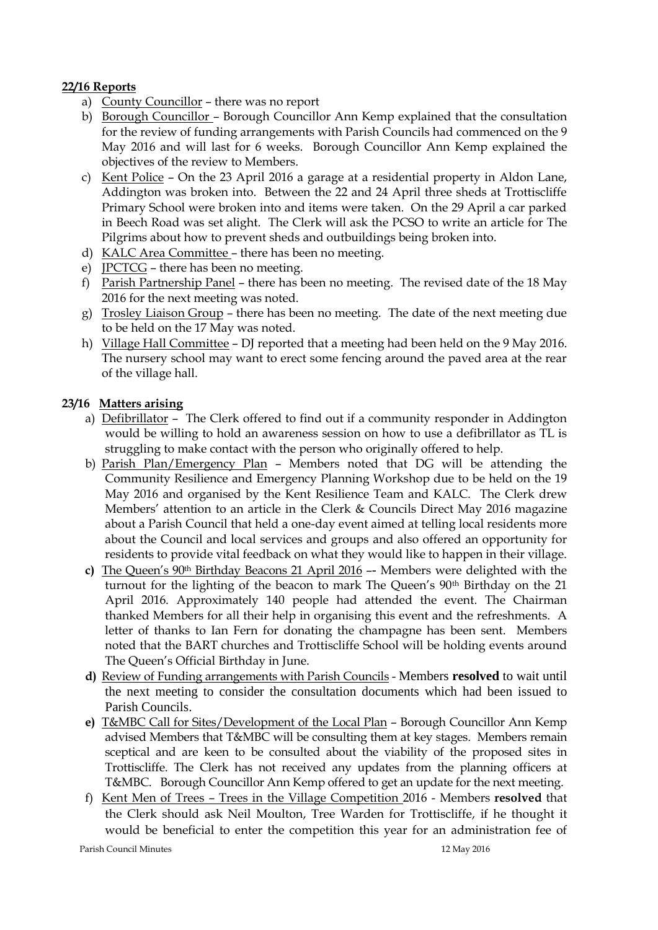# **22/16 Reports**

- a) County Councillor there was no report
- b) Borough Councillor Borough Councillor Ann Kemp explained that the consultation for the review of funding arrangements with Parish Councils had commenced on the 9 May 2016 and will last for 6 weeks. Borough Councillor Ann Kemp explained the objectives of the review to Members.
- c) Kent Police On the 23 April 2016 a garage at a residential property in Aldon Lane, Addington was broken into. Between the 22 and 24 April three sheds at Trottiscliffe Primary School were broken into and items were taken. On the 29 April a car parked in Beech Road was set alight. The Clerk will ask the PCSO to write an article for The Pilgrims about how to prevent sheds and outbuildings being broken into.
- d) KALC Area Committee there has been no meeting.
- e) JPCTCG there has been no meeting.
- f) Parish Partnership Panel there has been no meeting. The revised date of the 18 May 2016 for the next meeting was noted.
- g) Trosley Liaison Group there has been no meeting. The date of the next meeting due to be held on the 17 May was noted.
- h) Village Hall Committee DJ reported that a meeting had been held on the 9 May 2016. The nursery school may want to erect some fencing around the paved area at the rear of the village hall.

# **23/16 Matters arising**

- a) Defibrillator The Clerk offered to find out if a community responder in Addington would be willing to hold an awareness session on how to use a defibrillator as TL is struggling to make contact with the person who originally offered to help.
- b) Parish Plan/Emergency Plan Members noted that DG will be attending the Community Resilience and Emergency Planning Workshop due to be held on the 19 May 2016 and organised by the Kent Resilience Team and KALC. The Clerk drew Members' attention to an article in the Clerk & Councils Direct May 2016 magazine about a Parish Council that held a one-day event aimed at telling local residents more about the Council and local services and groups and also offered an opportunity for residents to provide vital feedback on what they would like to happen in their village.
- **c)** The Queen's 90th Birthday Beacons 21 April 2016 –- Members were delighted with the turnout for the lighting of the beacon to mark The Queen's 90<sup>th</sup> Birthday on the 21 April 2016. Approximately 140 people had attended the event. The Chairman thanked Members for all their help in organising this event and the refreshments. A letter of thanks to Ian Fern for donating the champagne has been sent. Members noted that the BART churches and Trottiscliffe School will be holding events around The Queen's Official Birthday in June.
- **d)** Review of Funding arrangements with Parish Councils Members **resolved** to wait until the next meeting to consider the consultation documents which had been issued to Parish Councils.
- **e)** T&MBC Call for Sites/Development of the Local Plan Borough Councillor Ann Kemp advised Members that T&MBC will be consulting them at key stages. Members remain sceptical and are keen to be consulted about the viability of the proposed sites in Trottiscliffe. The Clerk has not received any updates from the planning officers at T&MBC. Borough Councillor Ann Kemp offered to get an update for the next meeting.
- f) Kent Men of Trees Trees in the Village Competition 2016 Members **resolved** that the Clerk should ask Neil Moulton, Tree Warden for Trottiscliffe, if he thought it would be beneficial to enter the competition this year for an administration fee of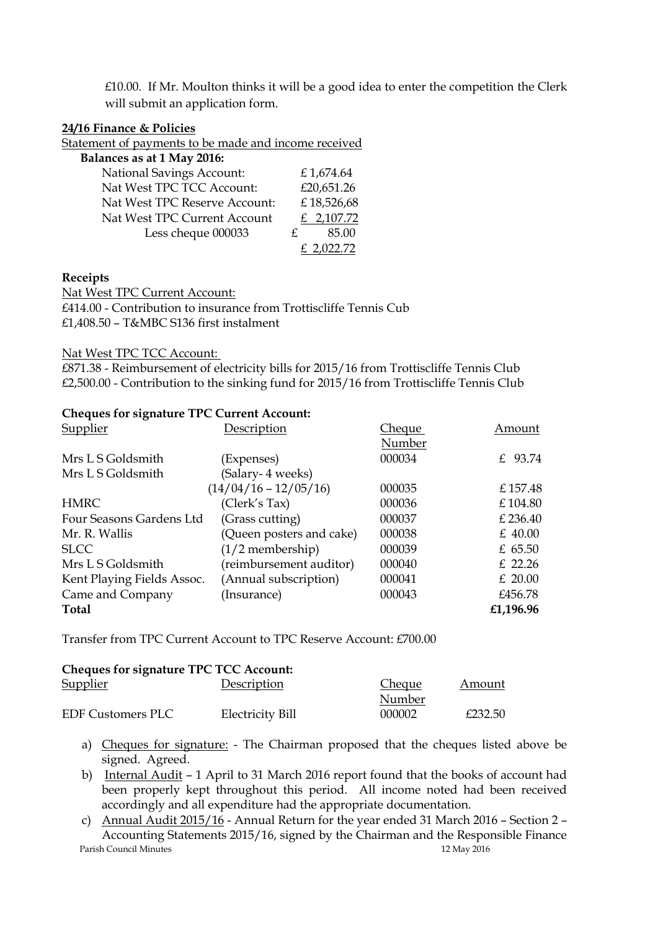$£10.00.$  If Mr. Moulton thinks it will be a good idea to enter the competition the Clerk will submit an application form.

## **24/16 Finance & Policies**

Statement of payments to be made and income received

| Balances as at 1 May 2016:       |             |
|----------------------------------|-------------|
| <b>National Savings Account:</b> | £1,674.64   |
| Nat West TPC TCC Account:        | £20,651.26  |
| Nat West TPC Reserve Account:    | £18,526,68  |
| Nat West TPC Current Account     | £ 2,107.72  |
| Less cheque 000033               | 85.00<br>£. |
|                                  | .022.72     |

#### **Receipts**

Nat West TPC Current Account: £414.00 - Contribution to insurance from Trottiscliffe Tennis Cub £1,408.50 – T&MBC S136 first instalment

### Nat West TPC TCC Account:

£871.38 - Reimbursement of electricity bills for 2015/16 from Trottiscliffe Tennis Club £2,500.00 - Contribution to the sinking fund for 2015/16 from Trottiscliffe Tennis Club

#### **Cheques for signature TPC Current Account:**

| Supplier                   | Description              | Cheque | Amount    |
|----------------------------|--------------------------|--------|-----------|
|                            |                          | Number |           |
| Mrs L S Goldsmith          | (Expenses)               | 000034 | £ 93.74   |
| Mrs L S Goldsmith          | (Salary- 4 weeks)        |        |           |
|                            | $(14/04/16 - 12/05/16)$  | 000035 | £157.48   |
| <b>HMRC</b>                | (Clerk's Tax)            | 000036 | £104.80   |
| Four Seasons Gardens Ltd   | (Grass cutting)          | 000037 | £ 236.40  |
| Mr. R. Wallis              | (Queen posters and cake) | 000038 | $£$ 40.00 |
| <b>SLCC</b>                | $(1/2$ membership)       | 000039 | $£$ 65.50 |
| Mrs L S Goldsmith          | (reimbursement auditor)  | 000040 | $£$ 22.26 |
| Kent Playing Fields Assoc. | (Annual subscription)    | 000041 | $£$ 20.00 |
| Came and Company           | (Insurance)              | 000043 | £456.78   |
| <b>Total</b>               |                          |        | £1,196.96 |

Transfer from TPC Current Account to TPC Reserve Account: £700.00

# **Cheques for signature TPC TCC Account:**  Supplier Description Description Cheque Amount Number EDF Customers PLC Electricity Bill 000002 £232.50

- a) Cheques for signature: The Chairman proposed that the cheques listed above be signed. Agreed.
- b) Internal Audit 1 April to 31 March 2016 report found that the books of account had been properly kept throughout this period. All income noted had been received accordingly and all expenditure had the appropriate documentation.
- Parish Council Minutes 12 May 2016 c) Annual Audit 2015/16 - Annual Return for the year ended 31 March 2016 – Section 2 – Accounting Statements 2015/16, signed by the Chairman and the Responsible Finance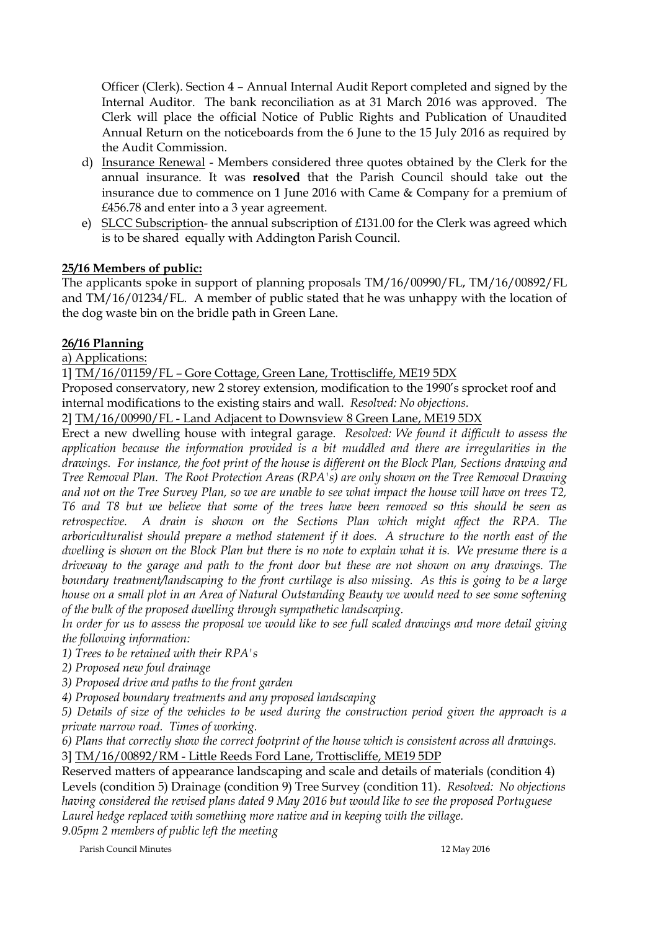Officer (Clerk). Section 4 – Annual Internal Audit Report completed and signed by the Internal Auditor. The bank reconciliation as at 31 March 2016 was approved. The Clerk will place the official Notice of Public Rights and Publication of Unaudited Annual Return on the noticeboards from the 6 June to the 15 July 2016 as required by the Audit Commission.

- d) Insurance Renewal Members considered three quotes obtained by the Clerk for the annual insurance. It was **resolved** that the Parish Council should take out the insurance due to commence on 1 June 2016 with Came & Company for a premium of £456.78 and enter into a 3 year agreement.
- e) SLCC Subscription- the annual subscription of £131.00 for the Clerk was agreed which is to be shared equally with Addington Parish Council.

# **25/16 Members of public:**

The applicants spoke in support of planning proposals TM/16/00990/FL, TM/16/00892/FL and TM/16/01234/FL. A member of public stated that he was unhappy with the location of the dog waste bin on the bridle path in Green Lane.

# **26/16 Planning**

a) Applications:

1] TM/16/01159/FL – Gore Cottage, Green Lane, Trottiscliffe, ME19 5DX

Proposed conservatory, new 2 storey extension, modification to the 1990's sprocket roof and internal modifications to the existing stairs and wall. *Resolved: No objections.*

2] TM/16/00990/FL - Land Adjacent to Downsview 8 Green Lane, ME19 5DX

Erect a new dwelling house with integral garage. *Resolved: We found it difficult to assess the application because the information provided is a bit muddled and there are irregularities in the drawings. For instance, the foot print of the house is different on the Block Plan, Sections drawing and Tree Removal Plan. The Root Protection Areas (RPA's) are only shown on the Tree Removal Drawing and not on the Tree Survey Plan, so we are unable to see what impact the house will have on trees T2, T6 and T8 but we believe that some of the trees have been removed so this should be seen as retrospective. A drain is shown on the Sections Plan which might affect the RPA. The arboriculturalist should prepare a method statement if it does. A structure to the north east of the dwelling is shown on the Block Plan but there is no note to explain what it is. We presume there is a driveway to the garage and path to the front door but these are not shown on any drawings. The boundary treatment/landscaping to the front curtilage is also missing. As this is going to be a large house on a small plot in an Area of Natural Outstanding Beauty we would need to see some softening of the bulk of the proposed dwelling through sympathetic landscaping.*

*In order for us to assess the proposal we would like to see full scaled drawings and more detail giving the following information:*

*1) Trees to be retained with their RPA's*

*2) Proposed new foul drainage*

*3) Proposed drive and paths to the front garden*

*4) Proposed boundary treatments and any proposed landscaping*

*5) Details of size of the vehicles to be used during the construction period given the approach is a private narrow road. Times of working.*

*6) Plans that correctly show the correct footprint of the house which is consistent across all drawings.* 3] TM/16/00892/RM - Little Reeds Ford Lane, Trottiscliffe, ME19 5DP

Reserved matters of appearance landscaping and scale and details of materials (condition 4) Levels (condition 5) Drainage (condition 9) Tree Survey (condition 11). *Resolved: No objections having considered the revised plans dated 9 May 2016 but would like to see the proposed Portuguese Laurel hedge replaced with something more native and in keeping with the village.*

*9.05pm 2 members of public left the meeting*

Parish Council Minutes 12 May 2016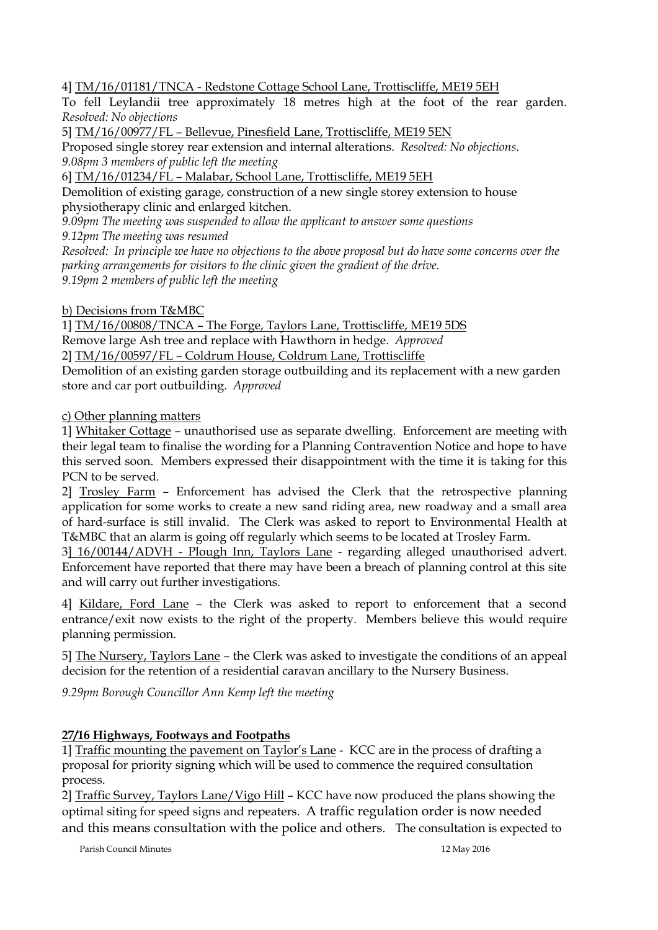4] TM/16/01181/TNCA - Redstone Cottage School Lane, Trottiscliffe, ME19 5EH

To fell Leylandii tree approximately 18 metres high at the foot of the rear garden. *Resolved: No objections*

5] TM/16/00977/FL – Bellevue, Pinesfield Lane, Trottiscliffe, ME19 5EN

Proposed single storey rear extension and internal alterations. *Resolved: No objections. 9.08pm 3 members of public left the meeting*

6] TM/16/01234/FL – Malabar, School Lane, Trottiscliffe, ME19 5EH

Demolition of existing garage, construction of a new single storey extension to house physiotherapy clinic and enlarged kitchen.

*9.09pm The meeting was suspended to allow the applicant to answer some questions*

*9.12pm The meeting was resumed*

*Resolved: In principle we have no objections to the above proposal but do have some concerns over the parking arrangements for visitors to the clinic given the gradient of the drive. 9.19pm 2 members of public left the meeting*

b) Decisions from T&MBC

1] TM/16/00808/TNCA – The Forge, Taylors Lane, Trottiscliffe, ME19 5DS Remove large Ash tree and replace with Hawthorn in hedge. *Approved* 2] TM/16/00597/FL – Coldrum House, Coldrum Lane, Trottiscliffe

Demolition of an existing garden storage outbuilding and its replacement with a new garden store and car port outbuilding. *Approved*

c) Other planning matters

1] Whitaker Cottage – unauthorised use as separate dwelling. Enforcement are meeting with their legal team to finalise the wording for a Planning Contravention Notice and hope to have this served soon. Members expressed their disappointment with the time it is taking for this PCN to be served.

2] Trosley Farm – Enforcement has advised the Clerk that the retrospective planning application for some works to create a new sand riding area, new roadway and a small area of hard-surface is still invalid. The Clerk was asked to report to Environmental Health at T&MBC that an alarm is going off regularly which seems to be located at Trosley Farm.

3] 16/00144/ADVH - Plough Inn, Taylors Lane - regarding alleged unauthorised advert. Enforcement have reported that there may have been a breach of planning control at this site and will carry out further investigations.

4] Kildare, Ford Lane – the Clerk was asked to report to enforcement that a second entrance/exit now exists to the right of the property. Members believe this would require planning permission.

5] The Nursery, Taylors Lane – the Clerk was asked to investigate the conditions of an appeal decision for the retention of a residential caravan ancillary to the Nursery Business.

*9.29pm Borough Councillor Ann Kemp left the meeting*

# **27/16 Highways, Footways and Footpaths**

1] Traffic mounting the pavement on Taylor's Lane - KCC are in the process of drafting a proposal for priority signing which will be used to commence the required consultation process.

2] Traffic Survey, Taylors Lane/Vigo Hill – KCC have now produced the plans showing the optimal siting for speed signs and repeaters. A traffic regulation order is now needed and this means consultation with the police and others. The consultation is expected to

Parish Council Minutes 12 May 2016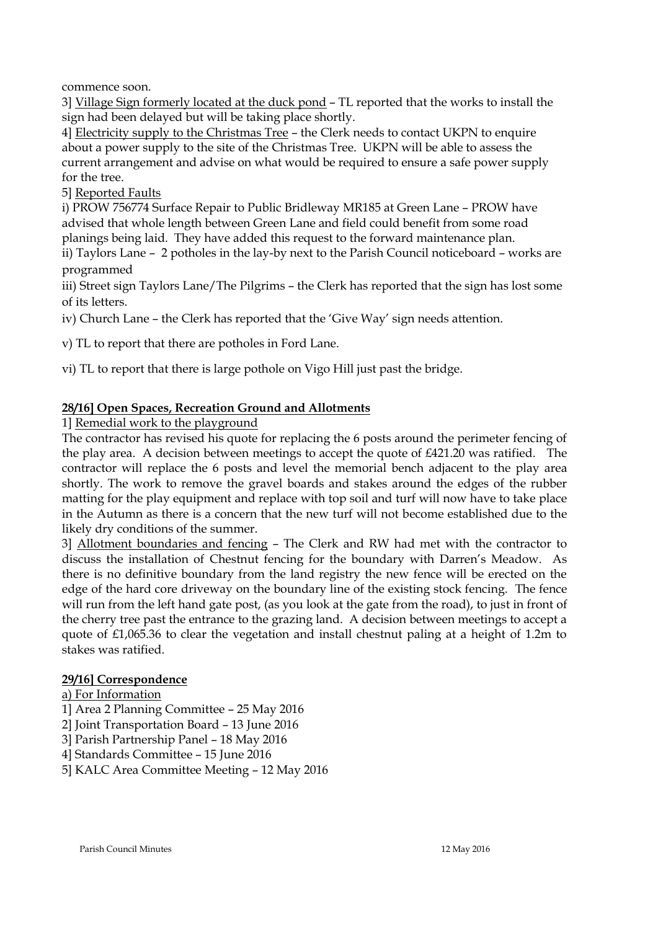commence soon.

3] Village Sign formerly located at the duck pond – TL reported that the works to install the sign had been delayed but will be taking place shortly.

4] Electricity supply to the Christmas Tree – the Clerk needs to contact UKPN to enquire about a power supply to the site of the Christmas Tree. UKPN will be able to assess the current arrangement and advise on what would be required to ensure a safe power supply for the tree.

5] Reported Faults

i) PROW 756774 Surface Repair to Public Bridleway MR185 at Green Lane – PROW have advised that whole length between Green Lane and field could benefit from some road planings being laid. They have added this request to the forward maintenance plan.

ii) Taylors Lane – 2 potholes in the lay-by next to the Parish Council noticeboard – works are programmed

iii) Street sign Taylors Lane/The Pilgrims – the Clerk has reported that the sign has lost some of its letters.

iv) Church Lane – the Clerk has reported that the 'Give Way' sign needs attention.

v) TL to report that there are potholes in Ford Lane.

vi) TL to report that there is large pothole on Vigo Hill just past the bridge.

## **28/16] Open Spaces, Recreation Ground and Allotments**

#### 1] Remedial work to the playground

The contractor has revised his quote for replacing the 6 posts around the perimeter fencing of the play area. A decision between meetings to accept the quote of £421.20 was ratified. The contractor will replace the 6 posts and level the memorial bench adjacent to the play area shortly. The work to remove the gravel boards and stakes around the edges of the rubber matting for the play equipment and replace with top soil and turf will now have to take place in the Autumn as there is a concern that the new turf will not become established due to the likely dry conditions of the summer.

3] Allotment boundaries and fencing – The Clerk and RW had met with the contractor to discuss the installation of Chestnut fencing for the boundary with Darren's Meadow. As there is no definitive boundary from the land registry the new fence will be erected on the edge of the hard core driveway on the boundary line of the existing stock fencing. The fence will run from the left hand gate post, (as you look at the gate from the road), to just in front of the cherry tree past the entrance to the grazing land. A decision between meetings to accept a quote of £1,065.36 to clear the vegetation and install chestnut paling at a height of 1.2m to stakes was ratified.

#### **29/16] Correspondence**

#### a) For Information

- 1] Area 2 Planning Committee 25 May 2016
- 2] Joint Transportation Board 13 June 2016
- 3] Parish Partnership Panel 18 May 2016
- 4] Standards Committee 15 June 2016
- 5] KALC Area Committee Meeting 12 May 2016